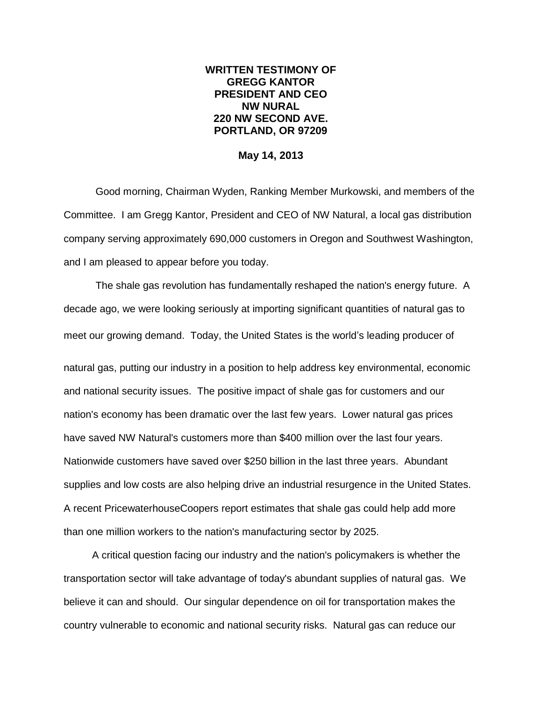## **WRITTEN TESTIMONY OF GREGG KANTOR PRESIDENT AND CEO NW NURAL 220 NW SECOND AVE. PORTLAND, OR 97209**

## **May 14, 2013**

Good morning, Chairman Wyden, Ranking Member Murkowski, and members of the Committee. I am Gregg Kantor, President and CEO of NW Natural, a local gas distribution company serving approximately 690,000 customers in Oregon and Southwest Washington, and I am pleased to appear before you today.

The shale gas revolution has fundamentally reshaped the nation's energy future. A decade ago, we were looking seriously at importing significant quantities of natural gas to meet our growing demand. Today, the United States is the world's leading producer of

natural gas, putting our industry in a position to help address key environmental, economic and national security issues. The positive impact of shale gas for customers and our nation's economy has been dramatic over the last few years. Lower natural gas prices have saved NW Natural's customers more than \$400 million over the last four years. Nationwide customers have saved over \$250 billion in the last three years. Abundant supplies and low costs are also helping drive an industrial resurgence in the United States. A recent PricewaterhouseCoopers report estimates that shale gas could help add more than one million workers to the nation's manufacturing sector by 2025.

 A critical question facing our industry and the nation's policymakers is whether the transportation sector will take advantage of today's abundant supplies of natural gas. We believe it can and should. Our singular dependence on oil for transportation makes the country vulnerable to economic and national security risks. Natural gas can reduce our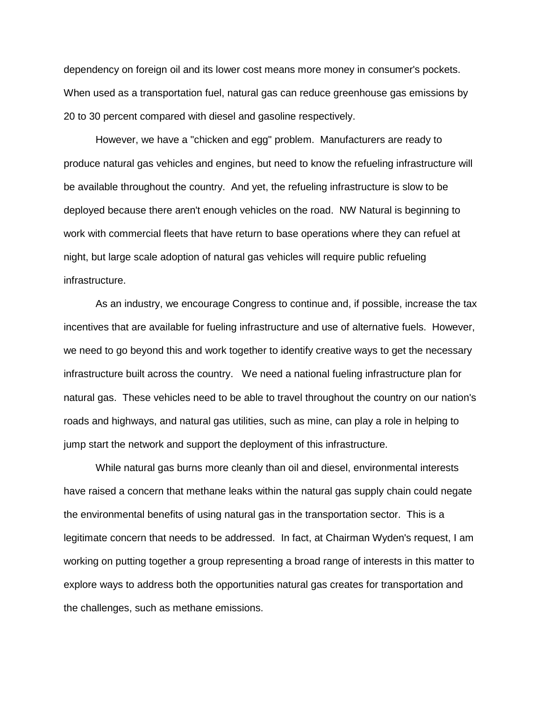dependency on foreign oil and its lower cost means more money in consumer's pockets. When used as a transportation fuel, natural gas can reduce greenhouse gas emissions by 20 to 30 percent compared with diesel and gasoline respectively.

However, we have a "chicken and egg" problem. Manufacturers are ready to produce natural gas vehicles and engines, but need to know the refueling infrastructure will be available throughout the country. And yet, the refueling infrastructure is slow to be deployed because there aren't enough vehicles on the road. NW Natural is beginning to work with commercial fleets that have return to base operations where they can refuel at night, but large scale adoption of natural gas vehicles will require public refueling infrastructure.

As an industry, we encourage Congress to continue and, if possible, increase the tax incentives that are available for fueling infrastructure and use of alternative fuels. However, we need to go beyond this and work together to identify creative ways to get the necessary infrastructure built across the country. We need a national fueling infrastructure plan for natural gas. These vehicles need to be able to travel throughout the country on our nation's roads and highways, and natural gas utilities, such as mine, can play a role in helping to jump start the network and support the deployment of this infrastructure.

While natural gas burns more cleanly than oil and diesel, environmental interests have raised a concern that methane leaks within the natural gas supply chain could negate the environmental benefits of using natural gas in the transportation sector. This is a legitimate concern that needs to be addressed. In fact, at Chairman Wyden's request, I am working on putting together a group representing a broad range of interests in this matter to explore ways to address both the opportunities natural gas creates for transportation and the challenges, such as methane emissions.